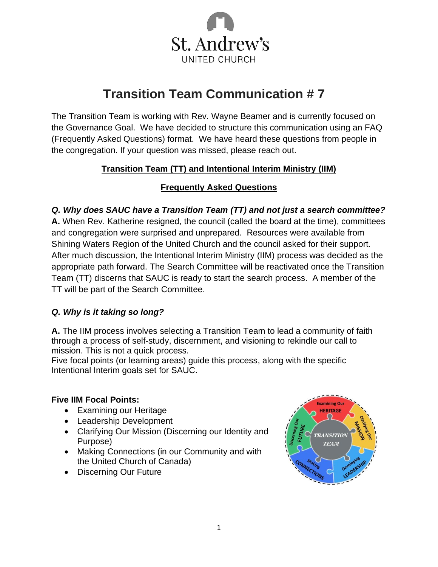

# **Transition Team Communication # 7**

The Transition Team is working with Rev. Wayne Beamer and is currently focused on the Governance Goal. We have decided to structure this communication using an FAQ (Frequently Asked Questions) format. We have heard these questions from people in the congregation. If your question was missed, please reach out.

# **Transition Team (TT) and Intentional Interim Ministry (IIM)**

# **Frequently Asked Questions**

*Q. Why does SAUC have a Transition Team (TT) and not just a search committee?* **A.** When Rev. Katherine resigned, the council (called the board at the time), committees and congregation were surprised and unprepared. Resources were available from Shining Waters Region of the United Church and the council asked for their support. After much discussion, the Intentional Interim Ministry (IIM) process was decided as the appropriate path forward. The Search Committee will be reactivated once the Transition Team (TT) discerns that SAUC is ready to start the search process. A member of the TT will be part of the Search Committee.

## *Q. Why is it taking so long?*

**A.** The IIM process involves selecting a Transition Team to lead a community of faith through a process of self-study, discernment, and visioning to rekindle our call to mission. This is not a quick process.

Five focal points (or learning areas) guide this process, along with the specific Intentional Interim goals set for SAUC.

## **Five IIM Focal Points:**

- Examining our Heritage
- Leadership Development
- Clarifying Our Mission (Discerning our Identity and Purpose)
- Making Connections (in our Community and with the United Church of Canada)
- Discerning Our Future

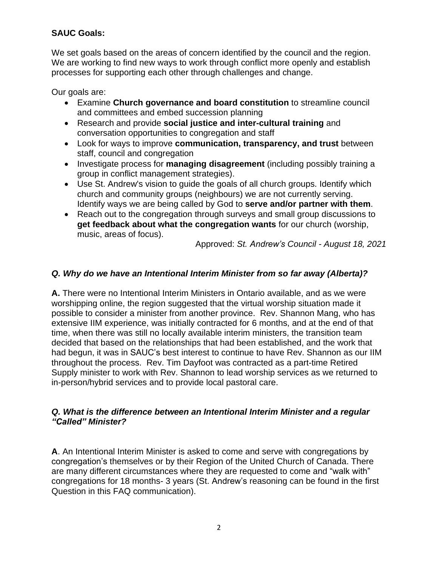# **SAUC Goals:**

We set goals based on the areas of concern identified by the council and the region. We are working to find new ways to work through conflict more openly and establish processes for supporting each other through challenges and change.

Our goals are:

- Examine **Church governance and board constitution** to streamline council and committees and embed succession planning
- Research and provide **social justice and inter-cultural training** and conversation opportunities to congregation and staff
- Look for ways to improve **communication, transparency, and trust** between staff, council and congregation
- Investigate process for **managing disagreement** (including possibly training a group in conflict management strategies).
- Use St. Andrew's vision to guide the goals of all church groups. Identify which church and community groups (neighbours) we are not currently serving. Identify ways we are being called by God to **serve and/or partner with them**.
- Reach out to the congregation through surveys and small group discussions to **get feedback about what the congregation wants** for our church (worship, music, areas of focus).

Approved: *St. Andrew's Council - August 18, 2021*

# *Q. Why do we have an Intentional Interim Minister from so far away (Alberta)?*

**A.** There were no Intentional Interim Ministers in Ontario available, and as we were worshipping online, the region suggested that the virtual worship situation made it possible to consider a minister from another province. Rev. Shannon Mang, who has extensive IIM experience, was initially contracted for 6 months, and at the end of that time, when there was still no locally available interim ministers, the transition team decided that based on the relationships that had been established, and the work that had begun, it was in SAUC's best interest to continue to have Rev. Shannon as our IIM throughout the process. Rev. Tim Dayfoot was contracted as a part-time Retired Supply minister to work with Rev. Shannon to lead worship services as we returned to in-person/hybrid services and to provide local pastoral care.

#### *Q. What is the difference between an Intentional Interim Minister and a regular "Called" Minister?*

**A**. An Intentional Interim Minister is asked to come and serve with congregations by congregation's themselves or by their Region of the United Church of Canada. There are many different circumstances where they are requested to come and "walk with" congregations for 18 months- 3 years (St. Andrew's reasoning can be found in the first Question in this FAQ communication).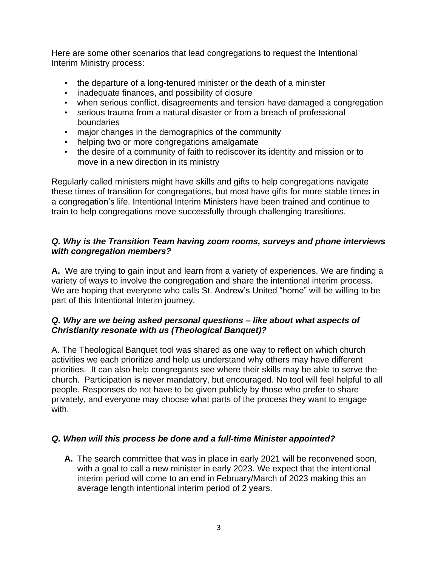Here are some other scenarios that lead congregations to request the Intentional Interim Ministry process:

- the departure of a long-tenured minister or the death of a minister
- inadequate finances, and possibility of closure
- when serious conflict, disagreements and tension have damaged a congregation
- serious trauma from a natural disaster or from a breach of professional boundaries
- major changes in the demographics of the community
- helping two or more congregations amalgamate
- the desire of a community of faith to rediscover its identity and mission or to move in a new direction in its ministry

Regularly called ministers might have skills and gifts to help congregations navigate these times of transition for congregations, but most have gifts for more stable times in a congregation's life. Intentional Interim Ministers have been trained and continue to train to help congregations move successfully through challenging transitions.

#### *Q. Why is the Transition Team having zoom rooms, surveys and phone interviews with congregation members?*

**A.** We are trying to gain input and learn from a variety of experiences. We are finding a variety of ways to involve the congregation and share the intentional interim process. We are hoping that everyone who calls St. Andrew's United "home" will be willing to be part of this Intentional Interim journey.

#### *Q. Why are we being asked personal questions – like about what aspects of Christianity resonate with us (Theological Banquet)?*

A. The Theological Banquet tool was shared as one way to reflect on which church activities we each prioritize and help us understand why others may have different priorities. It can also help congregants see where their skills may be able to serve the church. Participation is never mandatory, but encouraged. No tool will feel helpful to all people. Responses do not have to be given publicly by those who prefer to share privately, and everyone may choose what parts of the process they want to engage with.

## *Q. When will this process be done and a full-time Minister appointed?*

**A.** The search committee that was in place in early 2021 will be reconvened soon, with a goal to call a new minister in early 2023. We expect that the intentional interim period will come to an end in February/March of 2023 making this an average length intentional interim period of 2 years.